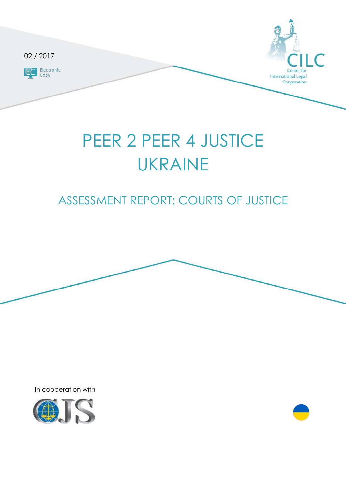

# PEER 2 PEER 4 JUSTICE UKRAINE

# ASSESSMENT REPORT: COURTS OF JUSTICE



In cooperation with

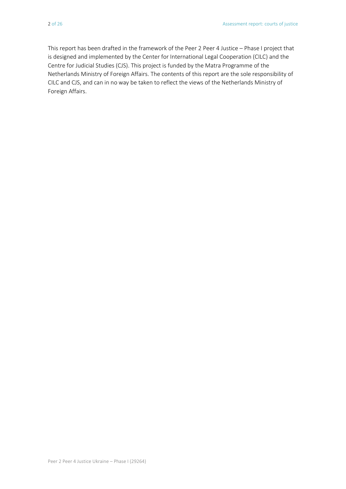This report has been drafted in the framework of the Peer 2 Peer 4 Justice – Phase I project that is designed and implemented by the Center for International Legal Cooperation (CILC) and the Centre for Judicial Studies (CJS). This project is funded by the Matra Programme of the Netherlands Ministry of Foreign Affairs. The contents of this report are the sole responsibility of CILC and CJS, and can in no way be taken to reflect the views of the Netherlands Ministry of Foreign Affairs.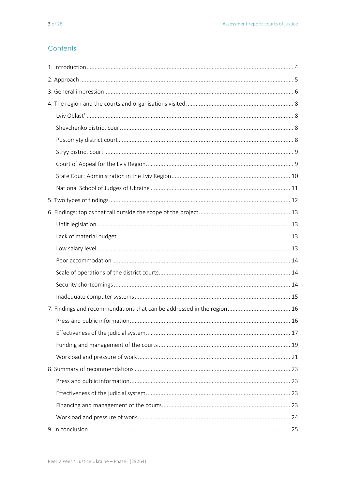#### Contents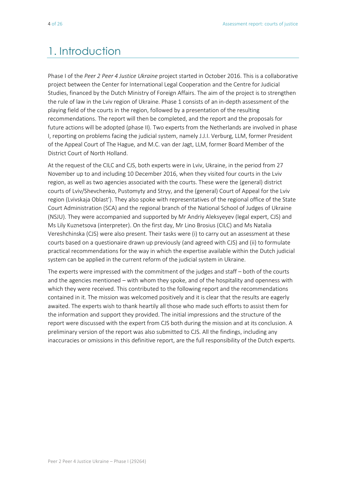# 1. Introduction

Phase I of the *Peer 2 Peer 4 Justice Ukraine* project started in October 2016. This is a collaborative project between the Center for International Legal Cooperation and the Centre for Judicial Studies, financed by the Dutch Ministry of Foreign Affairs. The aim of the project is to strengthen the rule of law in the Lviv region of Ukraine. Phase 1 consists of an in-depth assessment of the playing field of the courts in the region, followed by a presentation of the resulting recommendations. The report will then be completed, and the report and the proposals for future actions will be adopted (phase II). Two experts from the Netherlands are involved in phase I, reporting on problems facing the judicial system, namely J.J.I. Verburg, LLM, former President of the Appeal Court of The Hague, and M.C. van der Jagt, LLM, former Board Member of the District Court of North Holland.

At the request of the CILC and CJS, both experts were in Lviv, Ukraine, in the period from 27 November up to and including 10 December 2016, when they visited four courts in the Lviv region, as well as two agencies associated with the courts. These were the (general) district courts of Lviv/Shevchenko, Pustomyty and Stryy, and the (general) Court of Appeal for the Lviv region (Lvivskaja Oblast'). They also spoke with representatives of the regional office of the State Court Administration (SCA) and the regional branch of the National School of Judges of Ukraine (NSJU). They were accompanied and supported by Mr Andriy Aleksyeyev (legal expert, CJS) and Ms Lily Kuznetsova (interpreter). On the first day, Mr Lino Brosius (CILC) and Ms Natalia Vereshchinska (CJS) were also present. Their tasks were (i) to carry out an assessment at these courts based on a questionaire drawn up previously (and agreed with CJS) and (ii) to formulate practical recommendations for the way in which the expertise available within the Dutch judicial system can be applied in the current reform of the judicial system in Ukraine.

The experts were impressed with the commitment of the judges and staff – both of the courts and the agencies mentioned – with whom they spoke, and of the hospitality and openness with which they were received. This contributed to the following report and the recommendations contained in it. The mission was welcomed positively and it is clear that the results are eagerly awaited. The experts wish to thank heartily all those who made such efforts to assist them for the information and support they provided. The initial impressions and the structure of the report were discussed with the expert from CJS both during the mission and at its conclusion. A preliminary version of the report was also submitted to CJS. All the findings, including any inaccuracies or omissions in this definitive report, are the full responsibility of the Dutch experts.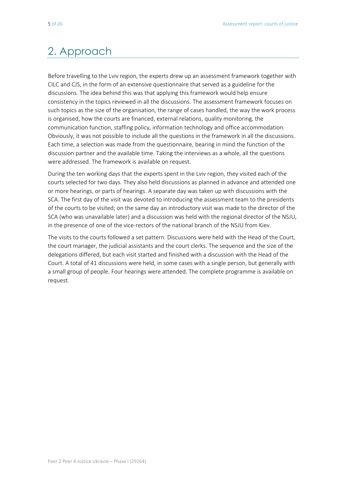# 2. Approach

Before travelling to the Lviv region, the experts drew up an assessment framework together with CILC and CJS, in the form of an extensive questionnaire that served as a guideline for the discussions. The idea behind this was that applying this framework would help ensure consistency in the topics reviewed in all the discussions. The assessment framework focuses on such topics as the size of the organisation, the range of cases handled, the way the work process is organised, how the courts are financed, external relations, quality monitoring, the communication function, staffing policy, information technology and office accommodation. Obviously, it was not possible to include all the questions in the framework in all the discussions. Each time, a selection was made from the questionnaire, bearing in mind the function of the discussion partner and the available time. Taking the interviews as a whole, all the questions were addressed. The framework is available on request.

During the ten working days that the experts spent in the Lviv region, they visited each of the courts selected for two days. They also held discussions as planned in advance and attended one or more hearings, or parts of hearings. A separate day was taken up with discussions with the SCA. The first day of the visit was devoted to introducing the assessment team to the presidents of the courts to be visited; on the same day an introductory visit was made to the director of the SCA (who was unavailable later) and a discussion was held with the regional director of the NSJU, in the presence of one of the vice-rectors of the national branch of the NSJU from Kiev.

The visits to the courts followed a set pattern. Discussions were held with the Head of the Court, the court manager, the judicial assistants and the court clerks. The sequence and the size of the delegations differed, but each visit started and finished with a discussion with the Head of the Court. A total of 41 discussions were held, in some cases with a single person, but generally with a small group of people. Four hearings were attended. The complete programme is available on request.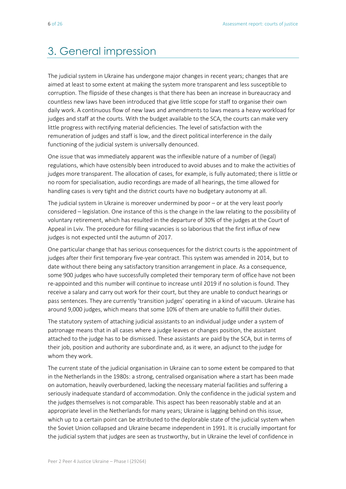# 3. General impression

The judicial system in Ukraine has undergone major changes in recent years; changes that are aimed at least to some extent at making the system more transparent and less susceptible to corruption. The flipside of these changes is that there has been an increase in bureaucracy and countless new laws have been introduced that give little scope for staff to organise their own daily work. A continuous flow of new laws and amendments to laws means a heavy workload for judges and staff at the courts. With the budget available to the SCA, the courts can make very little progress with rectifying material deficiencies. The level of satisfaction with the remuneration of judges and staff is low, and the direct political interference in the daily functioning of the judicial system is universally denounced.

One issue that was immediately apparent was the inflexible nature of a number of (legal) regulations, which have ostensibly been introduced to avoid abuses and to make the activities of judges more transparent. The allocation of cases, for example, is fully automated; there is little or no room for specialisation, audio recordings are made of all hearings, the time allowed for handling cases is very tight and the district courts have no budgetary autonomy at all.

The judicial system in Ukraine is moreover undermined by poor – or at the very least poorly considered – legislation. One instance of this is the change in the law relating to the possibility of voluntary retirement, which has resulted in the departure of 30% of the judges at the Court of Appeal in Lviv. The procedure for filling vacancies is so laborious that the first influx of new judges is not expected until the autumn of 2017.

One particular change that has serious consequences for the district courts is the appointment of judges after their first temporary five-year contract. This system was amended in 2014, but to date without there being any satisfactory transition arrangement in place. As a consequence, some 900 judges who have successfully completed their temporary term of office have not been re-appointed and this number will continue to increase until 2019 if no solution is found. They receive a salary and carry out work for their court, but they are unable to conduct hearings or pass sentences. They are currently 'transition judges' operating in a kind of vacuum. Ukraine has around 9,000 judges, which means that some 10% of them are unable to fulfill their duties.

The statutory system of attaching judicial assistants to an individual judge under a system of patronage means that in all cases where a judge leaves or changes position, the assistant attached to the judge has to be dismissed. These assistants are paid by the SCA, but in terms of their job, position and authority are subordinate and, as it were, an adjunct to the judge for whom they work.

The current state of the judicial organisation in Ukraine can to some extent be compared to that in the Netherlands in the 1980s: a strong, centralised organisation where a start has been made on automation, heavily overburdened, lacking the necessary material facilities and suffering a seriously inadequate standard of accommodation. Only the confidence in the judicial system and the judges themselves is not comparable. This aspect has been reasonably stable and at an appropriate level in the Netherlands for many years; Ukraine is lagging behind on this issue, which up to a certain point can be attributed to the deplorable state of the judicial system when the Soviet Union collapsed and Ukraine became independent in 1991. It is crucially important for the judicial system that judges are seen as trustworthy, but in Ukraine the level of confidence in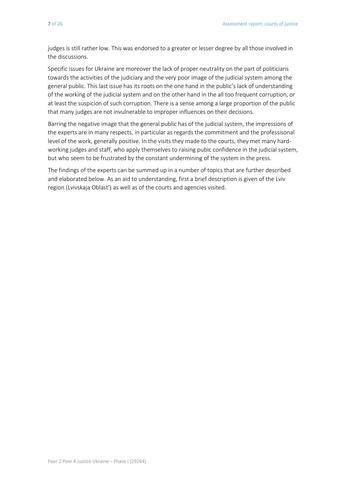judges is still rather low. This was endorsed to a greater or lesser degree by all those involved in the discussions.

Specific issues for Ukraine are moreover the lack of proper neutrality on the part of politicians towards the activities of the judiciary and the very poor image of the judicial system among the general public. This last issue has its roots on the one hand in the public's lack of understanding of the working of the judicial system and on the other hand in the all too frequent corruption, or at least the suspicion of such corruption. There is a sense among a large proportion of the public that many judges are not invulnerable to improper influences on their decisions.

Barring the negative image that the general public has of the judicial system, the impressions of the experts are in many respects, in particular as regards the commitment and the professisonal level of the work, generally positive. In the visits they made to the courts, they met many hardworking judges and staff, who apply themselves to raising pubic confidence in the judicial system, but who seem to be frustrated by the constant undermining of the system in the press.

The findings of the experts can be summed up in a number of topics that are further described and elaborated below. As an aid to understanding, first a brief description is given of the Lviv region (Lvivskaja Oblast') as well as of the courts and agencies visited.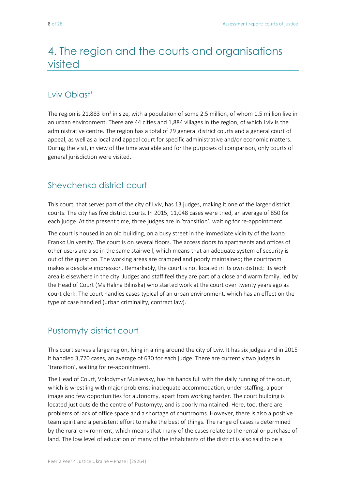# 4. The region and the courts and organisations visited

### Lviv Oblast'

The region is 21,883 km<sup>2</sup> in size, with a population of some 2.5 million, of whom 1.5 million live in an urban environment. There are 44 cities and 1,884 villages in the region, of which Lviv is the administrative centre. The region has a total of 29 general district courts and a general court of appeal, as well as a local and appeal court for specific administrative and/or economic matters. During the visit, in view of the time available and for the purposes of comparison, only courts of general jurisdiction were visited.

#### Shevchenko district court

This court, that serves part of the city of Lviv, has 13 judges, making it one of the larger district courts. The city has five district courts. In 2015, 11,048 cases were tried, an average of 850 for each judge. At the present time, three judges are in 'transition', waiting for re-appointment.

The court is housed in an old building, on a busy street in the immediate vicinity of the Ivano Franko University. The court is on several floors. The access doors to apartments and offices of other users are also in the same stairwell, which means that an adequate system of security is out of the question. The working areas are cramped and poorly maintained; the courtroom makes a desolate impression. Remarkably, the court is not located in its own district: its work area is elsewhere in the city. Judges and staff feel they are part of a close and warm family, led by the Head of Court (Ms Halina Bilinska) who started work at the court over twenty years ago as court clerk. The court handles cases typical of an urban environment, which has an effect on the type of case handled (urban criminality, contract law).

# Pustomyty district court

This court serves a large region, lying in a ring around the city of Lviv. It has six judges and in 2015 it handled 3,770 cases, an average of 630 for each judge. There are currently two judges in 'transition', waiting for re-appointment.

The Head of Court, Volodymyr Musievsky, has his hands full with the daily running of the court, which is wrestling with major problems: inadequate accommodation, under-staffing, a poor image and few opportunities for autonomy, apart from working harder. The court building is located just outside the centre of Pustomyty, and is poorly maintained. Here, too, there are problems of lack of office space and a shortage of courtrooms. However, there is also a positive team spirit and a persistent effort to make the best of things. The range of cases is determined by the rural environment, which means that many of the cases relate to the rental or purchase of land. The low level of education of many of the inhabitants of the district is also said to be a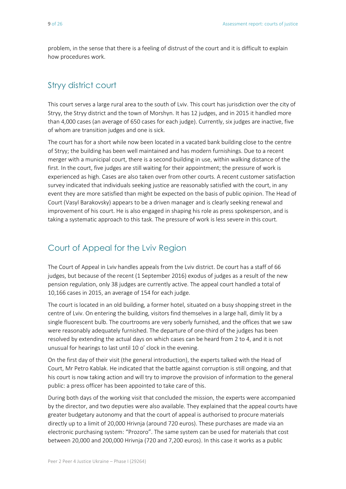problem, in the sense that there is a feeling of distrust of the court and it is difficult to explain how procedures work.

## Stryy district court

This court serves a large rural area to the south of Lviv. This court has jurisdiction over the city of Stryy, the Stryy district and the town of Morshyn. It has 12 judges, and in 2015 it handled more than 4,000 cases (an average of 650 cases for each judge). Currently, six judges are inactive, five of whom are transition judges and one is sick.

The court has for a short while now been located in a vacated bank building close to the centre of Stryy; the building has been well maintained and has modern furnishings. Due to a recent merger with a municipal court, there is a second building in use, within walking distance of the first. In the court, five judges are still waiting for their appointment; the pressure of work is experienced as high. Cases are also taken over from other courts. A recent customer satisfaction survey indicated that individuals seeking justice are reasonably satisfied with the court, in any event they are more satisfied than might be expected on the basis of public opinion. The Head of Court (Vasyl Barakovsky) appears to be a driven manager and is clearly seeking renewal and improvement of his court. He is also engaged in shaping his role as press spokesperson, and is taking a systematic approach to this task. The pressure of work is less severe in this court.

### Court of Appeal for the Lviv Region

The Court of Appeal in Lviv handles appeals from the Lviv district. De court has a staff of 66 judges, but because of the recent (1 September 2016) exodus of judges as a result of the new pension regulation, only 38 judges are currently active. The appeal court handled a total of 10,166 cases in 2015, an average of 154 for each judge.

The court is located in an old building, a former hotel, situated on a busy shopping street in the centre of Lviv. On entering the building, visitors find themselves in a large hall, dimly lit by a single fluorescent bulb. The courtrooms are very soberly furnished, and the offices that we saw were reasonably adequately furnished. The departure of one-third of the judges has been resolved by extending the actual days on which cases can be heard from 2 to 4, and it is not unusual for hearings to last until 10 o' clock in the evening.

On the first day of their visit (the general introduction), the experts talked with the Head of Court, Mr Petro Kablak. He indicated that the battle against corruption is still ongoing, and that his court is now taking action and will try to improve the provision of information to the general public: a press officer has been appointed to take care of this.

During both days of the working visit that concluded the mission, the experts were accompanied by the director, and two deputies were also available. They explained that the appeal courts have greater budgetary autonomy and that the court of appeal is authorised to procure materials directly up to a limit of 20,000 Hrivnja (around 720 euros). These purchases are made via an electronic purchasing system: "Prozoro". The same system can be used for materials that cost between 20,000 and 200,000 Hrivnja (720 and 7,200 euros). In this case it works as a public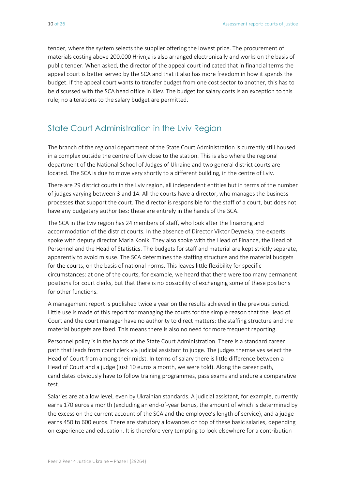tender, where the system selects the supplier offering the lowest price. The procurement of materials costing above 200,000 Hrivnja is also arranged electronically and works on the basis of public tender. When asked, the director of the appeal court indicated that in financial terms the appeal court is better served by the SCA and that it also has more freedom in how it spends the budget. If the appeal court wants to transfer budget from one cost sector to another, this has to be discussed with the SCA head office in Kiev. The budget for salary costs is an exception to this rule; no alterations to the salary budget are permitted.

### State Court Administration in the Lviv Region

The branch of the regional department of the State Court Administration is currently still housed in a complex outside the centre of Lviv close to the station. This is also where the regional department of the National School of Judges of Ukraine and two general district courts are located. The SCA is due to move very shortly to a different building, in the centre of Lviv.

There are 29 district courts in the Lviv region, all independent entities but in terms of the number of judges varying between 3 and 14. All the courts have a director, who manages the business processes that support the court. The director is responsible for the staff of a court, but does not have any budgetary authorities: these are entirely in the hands of the SCA.

The SCA in the Lviv region has 24 members of staff, who look after the financing and accommodation of the district courts. In the absence of Director Viktor Deyneka, the experts spoke with deputy director Maria Konik. They also spoke with the Head of Finance, the Head of Personnel and the Head of Statistics. The budgets for staff and material are kept strictly separate, apparently to avoid misuse. The SCA determines the staffing structure and the material budgets for the courts, on the basis of national norms. This leaves little flexibility for specific circumstances: at one of the courts, for example, we heard that there were too many permanent positions for court clerks, but that there is no possibility of exchanging some of these positions for other functions.

A management report is published twice a year on the results achieved in the previous period. Little use is made of this report for managing the courts for the simple reason that the Head of Court and the court manager have no authority to direct matters: the staffing structure and the material budgets are fixed. This means there is also no need for more frequent reporting.

Personnel policy is in the hands of the State Court Administration. There is a standard career path that leads from court clerk via judicial assistant to judge. The judges themselves select the Head of Court from among their midst. In terms of salary there is little difference between a Head of Court and a judge (just 10 euros a month, we were told). Along the career path, candidates obviously have to follow training programmes, pass exams and endure a comparative test.

Salaries are at a low level, even by Ukrainian standards. A judicial assistant, for example, currently earns 170 euros a month (excluding an end-of-year bonus, the amount of which is determined by the excess on the current account of the SCA and the employee's length of service), and a judge earns 450 to 600 euros. There are statutory allowances on top of these basic salaries, depending on experience and education. It is therefore very tempting to look elsewhere for a contribution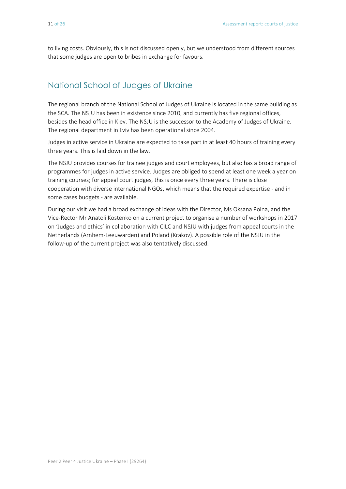to living costs. Obviously, this is not discussed openly, but we understood from different sources that some judges are open to bribes in exchange for favours.

## National School of Judges of Ukraine

The regional branch of the National School of Judges of Ukraine is located in the same building as the SCA. The NSJU has been in existence since 2010, and currently has five regional offices, besides the head office in Kiev. The NSJU is the successor to the Academy of Judges of Ukraine. The regional department in Lviv has been operational since 2004.

Judges in active service in Ukraine are expected to take part in at least 40 hours of training every three years. This is laid down in the law.

The NSJU provides courses for trainee judges and court employees, but also has a broad range of programmes for judges in active service. Judges are obliged to spend at least one week a year on training courses; for appeal court judges, this is once every three years. There is close cooperation with diverse international NGOs, which means that the required expertise - and in some cases budgets - are available.

During our visit we had a broad exchange of ideas with the Director, Ms Oksana Polna, and the Vice-Rector Mr Anatoli Kostenko on a current project to organise a number of workshops in 2017 on 'Judges and ethics' in collaboration with CILC and NSJU with judges from appeal courts in the Netherlands (Arnhem-Leeuwarden) and Poland (Krakov). A possible role of the NSJU in the follow-up of the current project was also tentatively discussed.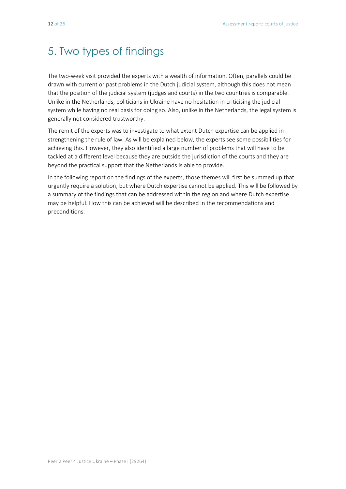# 5. Two types of findings

The two-week visit provided the experts with a wealth of information. Often, parallels could be drawn with current or past problems in the Dutch judicial system, although this does not mean that the position of the judicial system (judges and courts) in the two countries is comparable. Unlike in the Netherlands, politicians in Ukraine have no hesitation in criticising the judicial system while having no real basis for doing so. Also, unlike in the Netherlands, the legal system is generally not considered trustworthy.

The remit of the experts was to investigate to what extent Dutch expertise can be applied in strengthening the rule of law. As will be explained below, the experts see some possibilities for achieving this. However, they also identified a large number of problems that will have to be tackled at a different level because they are outside the jurisdiction of the courts and they are beyond the practical support that the Netherlands is able to provide.

In the following report on the findings of the experts, those themes will first be summed up that urgently require a solution, but where Dutch expertise cannot be applied. This will be followed by a summary of the findings that can be addressed within the region and where Dutch expertise may be helpful. How this can be achieved will be described in the recommendations and preconditions.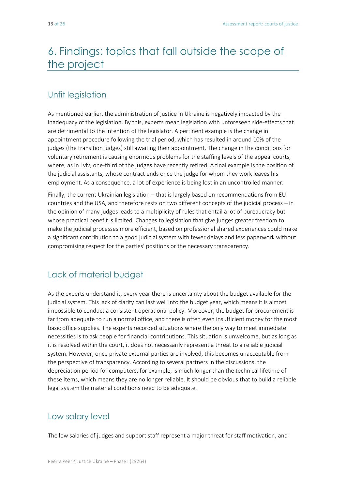# 6. Findings: topics that fall outside the scope of the project

### Unfit legislation

As mentioned earlier, the administration of justice in Ukraine is negatively impacted by the inadequacy of the legislation. By this, experts mean legislation with unforeseen side-effects that are detrimental to the intention of the legislator. A pertinent example is the change in appointment procedure following the trial period, which has resulted in around 10% of the judges (the transition judges) still awaiting their appointment. The change in the conditions for voluntary retirement is causing enormous problems for the staffing levels of the appeal courts, where, as in Lviv, one-third of the judges have recently retired. A final example is the position of the judicial assistants, whose contract ends once the judge for whom they work leaves his employment. As a consequence, a lot of experience is being lost in an uncontrolled manner.

Finally, the current Ukrainian legislation – that is largely based on recommendations from EU countries and the USA, and therefore rests on two different concepts of the judicial process – in the opinion of many judges leads to a multiplicity of rules that entail a lot of bureaucracy but whose practical benefit is limited. Changes to legislation that give judges greater freedom to make the judicial processes more efficient, based on professional shared experiences could make a significant contribution to a good judicial system with fewer delays and less paperwork without compromising respect for the parties' positions or the necessary transparency.

# Lack of material budget

As the experts understand it, every year there is uncertainty about the budget available for the judicial system. This lack of clarity can last well into the budget year, which means it is almost impossible to conduct a consistent operational policy. Moreover, the budget for procurement is far from adequate to run a normal office, and there is often even insufficient money for the most basic office supplies. The experts recorded situations where the only way to meet immediate necessities is to ask people for financial contributions. This situation is unwelcome, but as long as it is resolved within the court, it does not necessarily represent a threat to a reliable judicial system. However, once private external parties are involved, this becomes unacceptable from the perspective of transparency. According to several partners in the discussions, the depreciation period for computers, for example, is much longer than the technical lifetime of these items, which means they are no longer reliable. It should be obvious that to build a reliable legal system the material conditions need to be adequate.

#### Low salary level

The low salaries of judges and support staff represent a major threat for staff motivation, and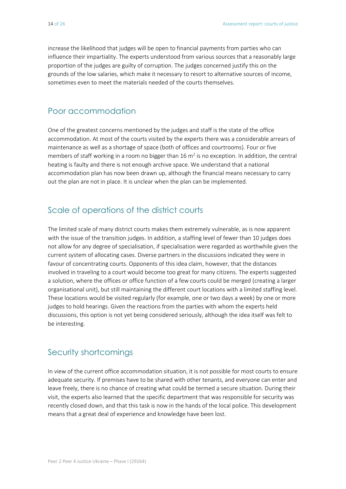increase the likelihood that judges will be open to financial payments from parties who can influence their impartiality. The experts understood from various sources that a reasonably large proportion of the judges are guilty of corruption. The judges concerned justify this on the grounds of the low salaries, which make it necessary to resort to alternative sources of income, sometimes even to meet the materials needed of the courts themselves.

#### Poor accommodation

One of the greatest concerns mentioned by the judges and staff is the state of the office accommodation. At most of the courts visited by the experts there was a considerable arrears of maintenance as well as a shortage of space (both of offices and courtrooms). Four or five members of staff working in a room no bigger than 16  $m<sup>2</sup>$  is no exception. In addition, the central heating is faulty and there is not enough archive space. We understand that a national accommodation plan has now been drawn up, although the financial means necessary to carry out the plan are not in place. It is unclear when the plan can be implemented.

### Scale of operations of the district courts

The limited scale of many district courts makes them extremely vulnerable, as is now apparent with the issue of the transition judges. In addition, a staffing level of fewer than 10 judges does not allow for any degree of specialisation, if specialisation were regarded as worthwhile given the current system of allocating cases. Diverse partners in the discussions indicated they were in favour of concentrating courts. Opponents of this idea claim, however, that the distances involved in traveling to a court would become too great for many citizens. The experts suggested a solution, where the offices or office function of a few courts could be merged (creating a larger organisational unit), but still maintaining the different court locations with a limited staffing level. These locations would be visited regularly (for example, one or two days a week) by one or more judges to hold hearings. Given the reactions from the parties with whom the experts held discussions, this option is not yet being considered seriously, although the idea itself was felt to be interesting.

#### Security shortcomings

In view of the current office accommodation situation, it is not possible for most courts to ensure adequate security. If premises have to be shared with other tenants, and everyone can enter and leave freely, there is no chance of creating what could be termed a secure situation. During their visit, the experts also learned that the specific department that was responsible for security was recently closed down, and that this task is now in the hands of the local police. This development means that a great deal of experience and knowledge have been lost.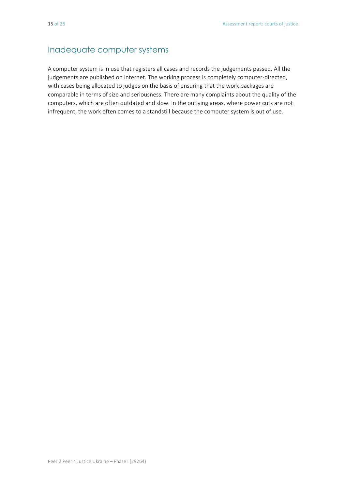#### Inadequate computer systems

A computer system is in use that registers all cases and records the judgements passed. All the judgements are published on internet. The working process is completely computer-directed, with cases being allocated to judges on the basis of ensuring that the work packages are comparable in terms of size and seriousness. There are many complaints about the quality of the computers, which are often outdated and slow. In the outlying areas, where power cuts are not infrequent, the work often comes to a standstill because the computer system is out of use.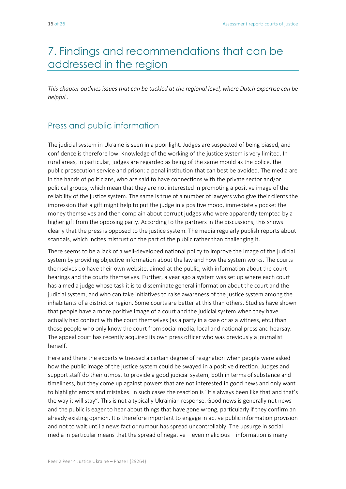# 7. Findings and recommendations that can be addressed in the region

*This chapter outlines issues that can be tackled at the regional level, where Dutch expertise can be helpful..*

# Press and public information

The judicial system in Ukraine is seen in a poor light. Judges are suspected of being biased, and confidence is therefore low. Knowledge of the working of the justice system is very limited. In rural areas, in particular, judges are regarded as being of the same mould as the police, the public prosecution service and prison: a penal institution that can best be avoided. The media are in the hands of politicians, who are said to have connections with the private sector and/or political groups, which mean that they are not interested in promoting a positive image of the reliability of the justice system. The same is true of a number of lawyers who give their clients the impression that a gift might help to put the judge in a positive mood, immediately pocket the money themselves and then complain about corrupt judges who were apparently tempted by a higher gift from the opposing party. According to the partners in the discussions, this shows clearly that the press is opposed to the justice system. The media regularly publish reports about scandals, which incites mistrust on the part of the public rather than challenging it.

There seems to be a lack of a well-developed national policy to improve the image of the judicial system by providing objective information about the law and how the system works. The courts themselves do have their own website, aimed at the public, with information about the court hearings and the courts themselves. Further, a year ago a system was set up where each court has a media judge whose task it is to disseminate general information about the court and the judicial system, and who can take initiatives to raise awareness of the justice system among the inhabitants of a district or region. Some courts are better at this than others. Studies have shown that people have a more positive image of a court and the judicial system when they have actually had contact with the court themselves (as a party in a case or as a witness, etc.) than those people who only know the court from social media, local and national press and hearsay. The appeal court has recently acquired its own press officer who was previously a journalist herself.

Here and there the experts witnessed a certain degree of resignation when people were asked how the public image of the justice system could be swayed in a positive direction. Judges and support staff do their utmost to provide a good judicial system, both in terms of substance and timeliness, but they come up against powers that are not interested in good news and only want to highlight errors and mistakes. In such cases the reaction is "It's always been like that and that's the way it will stay". This is not a typically Ukrainian response. Good news is generally not news and the public is eager to hear about things that have gone wrong, particularly if they confirm an already existing opinion. It is therefore important to engage in active public information provision and not to wait until a news fact or rumour has spread uncontrollably. The upsurge in social media in particular means that the spread of negative – even malicious – information is many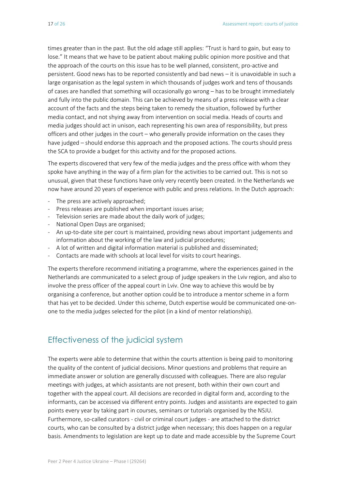times greater than in the past. But the old adage still applies: "Trust is hard to gain, but easy to lose." It means that we have to be patient about making public opinion more positive and that the approach of the courts on this issue has to be well planned, consistent, pro-active and persistent. Good news has to be reported consistently and bad news – it is unavoidable in such a large organisation as the legal system in which thousands of judges work and tens of thousands of cases are handled that something will occasionally go wrong – has to be brought immediately and fully into the public domain. This can be achieved by means of a press release with a clear account of the facts and the steps being taken to remedy the situation, followed by further media contact, and not shying away from intervention on social media. Heads of courts and media judges should act in unison, each representing his own area of responsibility, but press officers and other judges in the court – who generally provide information on the cases they have judged – should endorse this approach and the proposed actions. The courts should press the SCA to provide a budget for this activity and for the proposed actions.

The experts discovered that very few of the media judges and the press office with whom they spoke have anything in the way of a firm plan for the activities to be carried out. This is not so unusual, given that these functions have only very recently been created. In the Netherlands we now have around 20 years of experience with public and press relations. In the Dutch approach:

- The press are actively approached:
- Press releases are published when important issues arise;
- Television series are made about the daily work of judges;
- National Open Days are organised;
- An up-to-date site per court is maintained, providing news about important judgements and information about the working of the law and judicial procedures;
- A lot of written and digital information material is published and disseminated;
- Contacts are made with schools at local level for visits to court hearings.

The experts therefore recommend initiating a programme, where the experiences gained in the Netherlands are communicated to a select group of judge speakers in the Lviv region, and also to involve the press officer of the appeal court in Lviv. One way to achieve this would be by organising a conference, but another option could be to introduce a mentor scheme in a form that has yet to be decided. Under this scheme, Dutch expertise would be communicated one-onone to the media judges selected for the pilot (in a kind of mentor relationship).

#### Effectiveness of the judicial system

The experts were able to determine that within the courts attention is being paid to monitoring the quality of the content of judicial decisions. Minor questions and problems that require an immediate answer or solution are generally discussed with colleagues. There are also regular meetings with judges, at which assistants are not present, both within their own court and together with the appeal court. All decisions are recorded in digital form and, according to the informants, can be accessed via different entry points. Judges and assistants are expected to gain points every year by taking part in courses, seminars or tutorials organised by the NSJU. Furthermore, so-called curators - civil or criminal court judges - are attached to the district courts, who can be consulted by a district judge when necessary; this does happen on a regular basis. Amendments to legislation are kept up to date and made accessible by the Supreme Court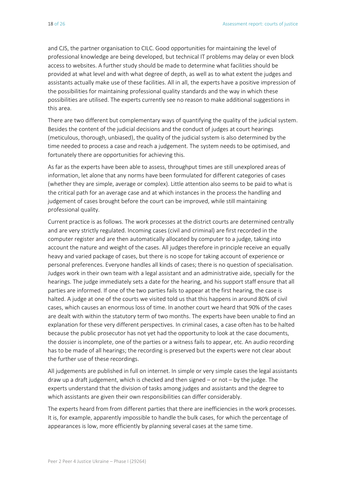and CJS, the partner organisation to CILC. Good opportunities for maintaining the level of professional knowledge are being developed, but technical IT problems may delay or even block access to websites. A further study should be made to determine what facilities should be provided at what level and with what degree of depth, as well as to what extent the judges and assistants actually make use of these facilities. All in all, the experts have a positive impression of the possibilities for maintaining professional quality standards and the way in which these possibilities are utilised. The experts currently see no reason to make additional suggestions in this area.

There are two different but complementary ways of quantifying the quality of the judicial system. Besides the content of the judicial decisions and the conduct of judges at court hearings (meticulous, thorough, unbiased), the quality of the judicial system is also determined by the time needed to process a case and reach a judgement. The system needs to be optimised, and fortunately there are opportunities for achieving this.

As far as the experts have been able to assess, throughput times are still unexplored areas of information, let alone that any norms have been formulated for different categories of cases (whether they are simple, average or complex). Little attention also seems to be paid to what is the critical path for an average case and at which instances in the process the handling and judgement of cases brought before the court can be improved, while still maintaining professional quality.

Current practice is as follows. The work processes at the district courts are determined centrally and are very strictly regulated. Incoming cases (civil and criminal) are first recorded in the computer register and are then automatically allocated by computer to a judge, taking into account the nature and weight of the cases. All judges therefore in principle receive an equally heavy and varied package of cases, but there is no scope for taking account of experience or personal preferences. Everyone handles all kinds of cases; there is no question of specialisation. Judges work in their own team with a legal assistant and an administrative aide, specially for the hearings. The judge immediately sets a date for the hearing, and his support staff ensure that all parties are informed. If one of the two parties fails to appear at the first hearing, the case is halted. A judge at one of the courts we visited told us that this happens in around 80% of civil cases, which causes an enormous loss of time. In another court we heard that 90% of the cases are dealt with within the statutory term of two months. The experts have been unable to find an explanation for these very different perspectives. In criminal cases, a case often has to be halted because the public prosecutor has not yet had the opportunity to look at the case documents, the dossier is incomplete, one of the parties or a witness fails to appear, etc. An audio recording has to be made of all hearings; the recording is preserved but the experts were not clear about the further use of these recordings.

All judgements are published in full on internet. In simple or very simple cases the legal assistants draw up a draft judgement, which is checked and then signed  $-$  or not  $-$  by the judge. The experts understand that the division of tasks among judges and assistants and the degree to which assistants are given their own responsibilities can differ considerably.

The experts heard from from different parties that there are inefficiencies in the work processes. It is, for example, apparently impossible to handle the bulk cases, for which the percentage of appearances is low, more efficiently by planning several cases at the same time.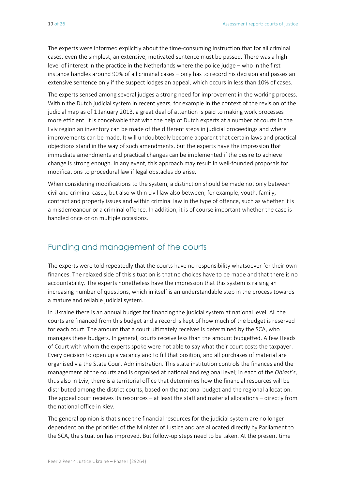The experts were informed explicitly about the time-consuming instruction that for all criminal cases, even the simplest, an extensive, motivated sentence must be passed. There was a high level of interest in the practice in the Netherlands where the police judge – who in the first instance handles around 90% of all criminal cases – only has to record his decision and passes an extensive sentence only if the suspect lodges an appeal, which occurs in less than 10% of cases.

The experts sensed among several judges a strong need for improvement in the working process. Within the Dutch judicial system in recent years, for example in the context of the revision of the judicial map as of 1 January 2013, a great deal of attention is paid to making work processes more efficient. It is conceivable that with the help of Dutch experts at a number of courts in the Lviv region an inventory can be made of the different steps in judicial proceedings and where improvements can be made. It will undoubtedly become apparent that certain laws and practical objections stand in the way of such amendments, but the experts have the impression that immediate amendments and practical changes can be implemented if the desire to achieve change is strong enough. In any event, this approach may result in well-founded proposals for modifications to procedural law if legal obstacles do arise.

When considering modifications to the system, a distinction should be made not only between civil and criminal cases, but also within civil law also between, for example, youth, family, contract and property issues and within criminal law in the type of offence, such as whether it is a misdemeanour or a criminal offence. In addition, it is of course important whether the case is handled once or on multiple occasions.

### Funding and management of the courts

The experts were told repeatedly that the courts have no responsibility whatsoever for their own finances. The relaxed side of this situation is that no choices have to be made and that there is no accountability. The experts nonetheless have the impression that this system is raising an increasing number of questions, which in itself is an understandable step in the process towards a mature and reliable judicial system.

In Ukraine there is an annual budget for financing the judicial system at national level. All the courts are financed from this budget and a record is kept of how much of the budget is reserved for each court. The amount that a court ultimately receives is determined by the SCA, who manages these budgets. In general, courts receive less than the amount budgetted. A few Heads of Court with whom the experts spoke were not able to say what their court costs the taxpayer. Every decision to open up a vacancy and to fill that position, and all purchases of material are organised via the State Court Administration. This state institution controls the finances and the management of the courts and is organised at national and regional level; in each of the *Oblast's*, thus also in Lviv, there is a territorial office that determines how the financial resources will be distributed among the district courts, based on the national budget and the regional allocation. The appeal court receives its resources – at least the staff and material allocations – directly from the national office in Kiev.

The general opinion is that since the financial resources for the judicial system are no longer dependent on the priorities of the Minister of Justice and are allocated directly by Parliament to the SCA, the situation has improved. But follow-up steps need to be taken. At the present time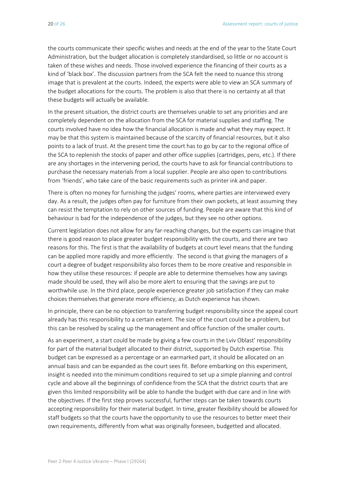the courts communicate their specific wishes and needs at the end of the year to the State Court Administration, but the budget allocation is completely standardised, so little or no account is taken of these wishes and needs. Those involved experience the financing of their courts as a kind of 'black box'. The discussion partners from the SCA felt the need to nuance this strong image that is prevalent at the courts. Indeed, the experts were able to view an SCA summary of the budget allocations for the courts. The problem is also that there is no certainty at all that these budgets will actually be available.

In the present situation, the district courts are themselves unable to set any priorities and are completely dependent on the allocation from the SCA for material supplies and staffing. The courts involved have no idea how the financial allocation is made and what they may expect. It may be that this system is maintained because of the scarcity of financial resources, but it also points to a lack of trust. At the present time the court has to go by car to the regional office of the SCA to replenish the stocks of paper and other office supplies (cartridges, pens, etc.). If there are any shortages in the intervening period, the courts have to ask for financial contributions to purchase the necessary materials from a local supplier. People are also open to contributions from 'friends', who take care of the basic requirements such as printer ink and paper.

There is often no money for furnishing the judges' rooms, where parties are interviewed every day. As a result, the judges often pay for furniture from their own pockets, at least assuming they can resist the temptation to rely on other sources of funding. People are aware that this kind of behaviour is bad for the independence of the judges, but they see no other options.

Current legislation does not allow for any far-reaching changes, but the experts can imagine that there is good reason to place greater budget responsibility with the courts, and there are two reasons for this. The first is that the availability of budgets at court level means that the funding can be applied more rapidly and more efficiently. The second is that giving the managers of a court a degree of budget responsibility also forces them to be more creative and responsible in how they utilise these resources: if people are able to determine themselves how any savings made should be used, they will also be more alert to ensuring that the savings are put to worthwhile use. In the third place, people experience greater job satisfaction if they can make choices themselves that generate more efficiency, as Dutch experience has shown.

In principle, there can be no objection to transferring budget responsibility since the appeal court already has this responsibility to a certain extent. The size of the court could be a problem, but this can be resolved by scaling up the management and office function of the smaller courts.

As an experiment, a start could be made by giving a few courts in the Lviv Oblast' responsibility for part of the material budget allocated to their district, supported by Dutch expertise. This budget can be expressed as a percentage or an earmarked part, it should be allocated on an annual basis and can be expanded as the court sees fit. Before embarking on this experiment, insight is needed into the minimum conditions required to set up a simple planning and control cycle and above all the beginnings of confidence from the SCA that the district courts that are given this limited responsibility will be able to handle the budget with due care and in line with the objectives. If the first step proves successful, further steps can be taken towards courts accepting responsibility for their material budget. In time, greater flexibility should be allowed for staff budgets so that the courts have the opportunity to use the resources to better meet their own requirements, differently from what was originally foreseen, budgetted and allocated.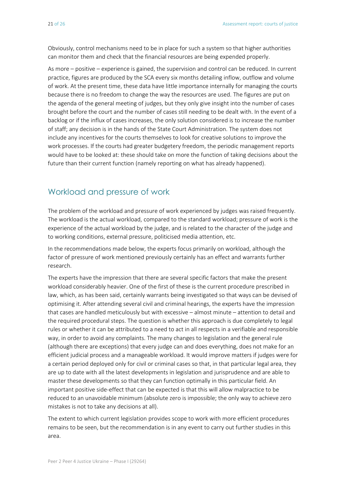Obviously, control mechanisms need to be in place for such a system so that higher authorities can monitor them and check that the financial resources are being expended properly.

As more – positive – experience is gained, the supervision and control can be reduced. In current practice, figures are produced by the SCA every six months detailing inflow, outflow and volume of work. At the present time, these data have little importance internally for managing the courts because there is no freedom to change the way the resources are used. The figures are put on the agenda of the general meeting of judges, but they only give insight into the number of cases brought before the court and the number of cases still needing to be dealt with. In the event of a backlog or if the influx of cases increases, the only solution considered is to increase the number of staff; any decision is in the hands of the State Court Administration. The system does not include any incentives for the courts themselves to look for creative solutions to improve the work processes. If the courts had greater budgetery freedom, the periodic management reports would have to be looked at: these should take on more the function of taking decisions about the future than their current function (namely reporting on what has already happened).

### Workload and pressure of work

The problem of the workload and pressure of work experienced by judges was raised frequently. The workload is the actual workload, compared to the standard workload; pressure of work is the experience of the actual workload by the judge, and is related to the character of the judge and to working conditions, external pressure, politicised media attention, etc.

In the recommendations made below, the experts focus primarily on workload, although the factor of pressure of work mentioned previously certainly has an effect and warrants further research.

The experts have the impression that there are several specific factors that make the present workload considerably heavier. One of the first of these is the current procedure prescribed in law, which, as has been said, certainly warrants being investigated so that ways can be devised of optimising it. After attending several civil and criminal hearings, the experts have the impression that cases are handled meticulously but with excessive – almost minute – attention to detail and the required procedural steps. The question is whether this approach is due completely to legal rules or whether it can be attributed to a need to act in all respects in a verifiable and responsible way, in order to avoid any complaints. The many changes to legislation and the general rule (although there are exceptions) that every judge can and does everything, does not make for an efficient judicial process and a manageable workload. It would improve matters if judges were for a certain period deployed only for civil or criminal cases so that, in that particular legal area, they are up to date with all the latest developments in legislation and jurisprudence and are able to master these developments so that they can function optimally in this particular field. An important positive side-effect that can be expected is that this will allow malpractice to be reduced to an unavoidable minimum (absolute zero is impossible; the only way to achieve zero mistakes is not to take any decisions at all).

The extent to which current legislation provides scope to work with more efficient procedures remains to be seen, but the recommendation is in any event to carry out further studies in this area.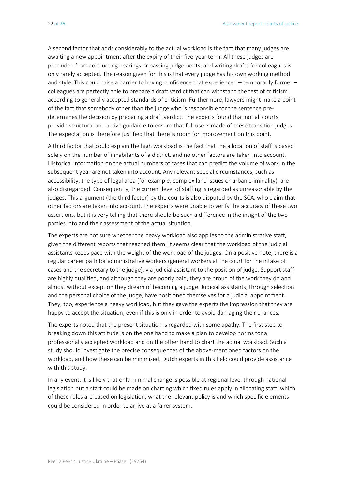A second factor that adds considerably to the actual workload is the fact that many judges are awaiting a new appointment after the expiry of their five-year term. All these judges are precluded from conducting hearings or passing judgements, and writing drafts for colleagues is only rarely accepted. The reason given for this is that every judge has his own working method and style. This could raise a barrier to having confidence that experienced – temporarily former – colleagues are perfectly able to prepare a draft verdict that can withstand the test of criticism according to generally accepted standards of criticism. Furthermore, lawyers might make a point of the fact that somebody other than the judge who is responsible for the sentence predetermines the decision by preparing a draft verdict. The experts found that not all courts provide structural and active guidance to ensure that full use is made of these transition judges. The expectation is therefore justified that there is room for improvement on this point.

A third factor that could explain the high workload is the fact that the allocation of staff is based solely on the number of inhabitants of a district, and no other factors are taken into account. Historical information on the actual numbers of cases that can predict the volume of work in the subsequent year are not taken into account. Any relevant special circumstances, such as accessibility, the type of legal area (for example, complex land issues or urban criminality), are also disregarded. Consequently, the current level of staffing is regarded as unreasonable by the judges. This argument (the third factor) by the courts is also disputed by the SCA, who claim that other factors are taken into account. The experts were unable to verify the accuracy of these two assertions, but it is very telling that there should be such a difference in the insight of the two parties into and their assessment of the actual situation.

The experts are not sure whether the heavy workload also applies to the administrative staff, given the different reports that reached them. It seems clear that the workload of the judicial assistants keeps pace with the weight of the workload of the judges. On a positive note, there is a regular career path for administrative workers (general workers at the court for the intake of cases and the secretary to the judge), via judicial assistant to the position of judge. Support staff are highly qualified, and although they are poorly paid, they are proud of the work they do and almost without exception they dream of becoming a judge. Judicial assistants, through selection and the personal choice of the judge, have positioned themselves for a judicial appointment. They, too, experience a heavy workload, but they gave the experts the impression that they are happy to accept the situation, even if this is only in order to avoid damaging their chances.

The experts noted that the present situation is regarded with some apathy. The first step to breaking down this attitude is on the one hand to make a plan to develop norms for a professionally accepted workload and on the other hand to chart the actual workload. Such a study should investigate the precise consequences of the above-mentioned factors on the workload, and how these can be minimized. Dutch experts in this field could provide assistance with this study.

In any event, it is likely that only minimal change is possible at regional level through national legislation but a start could be made on charting which fixed rules apply in allocating staff, which of these rules are based on legislation, what the relevant policy is and which specific elements could be considered in order to arrive at a fairer system.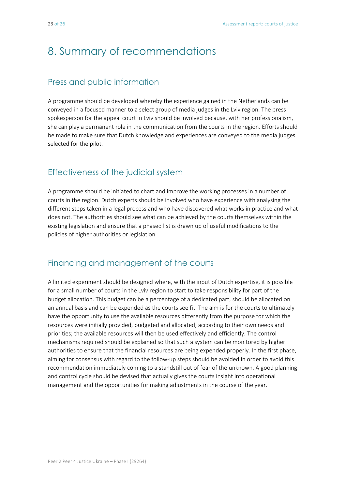# 8. Summary of recommendations

#### Press and public information

A programme should be developed whereby the experience gained in the Netherlands can be conveyed in a focused manner to a select group of media judges in the Lviv region. The press spokesperson for the appeal court in Lviv should be involved because, with her professionalism, she can play a permanent role in the communication from the courts in the region. Efforts should be made to make sure that Dutch knowledge and experiences are conveyed to the media judges selected for the pilot.

### Effectiveness of the judicial system

A programme should be initiated to chart and improve the working processes in a number of courts in the region. Dutch experts should be involved who have experience with analysing the different steps taken in a legal process and who have discovered what works in practice and what does not. The authorities should see what can be achieved by the courts themselves within the existing legislation and ensure that a phased list is drawn up of useful modifications to the policies of higher authorities or legislation.

### Financing and management of the courts

A limited experiment should be designed where, with the input of Dutch expertise, it is possible for a small number of courts in the Lviv region to start to take responsibility for part of the budget allocation. This budget can be a percentage of a dedicated part, should be allocated on an annual basis and can be expended as the courts see fit. The aim is for the courts to ultimately have the opportunity to use the available resources differently from the purpose for which the resources were initially provided, budgeted and allocated, according to their own needs and priorities; the available resources will then be used effectively and efficiently. The control mechanisms required should be explained so that such a system can be monitored by higher authorities to ensure that the financial resources are being expended properly. In the first phase, aiming for consensus with regard to the follow-up steps should be avoided in order to avoid this recommendation immediately coming to a standstill out of fear of the unknown. A good planning and control cycle should be devised that actually gives the courts insight into operational management and the opportunities for making adjustments in the course of the year.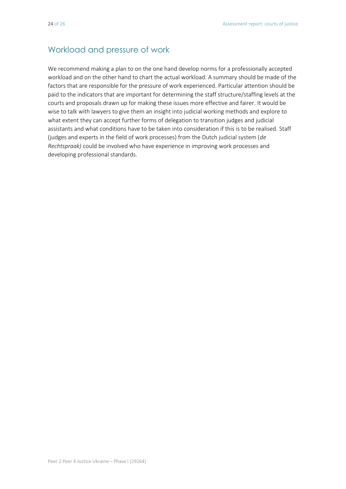#### Workload and pressure of work

We recommend making a plan to on the one hand develop norms for a professionally accepted workload and on the other hand to chart the actual workload. A summary should be made of the factors that are responsible for the pressure of work experienced. Particular attention should be paid to the indicators that are important for determining the staff structure/staffing levels at the courts and proposals drawn up for making these issues more effective and fairer. It would be wise to talk with lawyers to give them an insight into judicial working methods and explore to what extent they can accept further forms of delegation to transition judges and judicial assistants and what conditions have to be taken into consideration if this is to be realised. Staff (judges and experts in the field of work processes) from the Dutch judicial system (*de Rechtspraak)* could be involved who have experience in improving work processes and developing professional standards.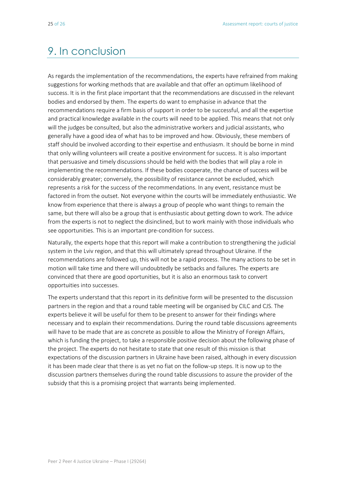# 9. In conclusion

As regards the implementation of the recommendations, the experts have refrained from making suggestions for working methods that are available and that offer an optimum likelihood of success. It is in the first place important that the recommendations are discussed in the relevant bodies and endorsed by them. The experts do want to emphasise in advance that the recommendations require a firm basis of support in order to be successful, and all the expertise and practical knowledge available in the courts will need to be applied. This means that not only will the judges be consulted, but also the administrative workers and judicial assistants, who generally have a good idea of what has to be improved and how. Obviously, these members of staff should be involved according to their expertise and enthusiasm. It should be borne in mind that only willing volunteers will create a positive environment for success. It is also important that persuasive and timely discussions should be held with the bodies that will play a role in implementing the recommendations. If these bodies cooperate, the chance of success will be considerably greater; conversely, the possibility of resistance cannot be excluded, which represents a risk for the success of the recommendations. In any event, resistance must be factored in from the outset. Not everyone within the courts will be immediately enthusiastic. We know from experience that there is always a group of people who want things to remain the same, but there will also be a group that is enthusiastic about getting down to work. The advice from the experts is not to neglect the disinclined, but to work mainly with those individuals who see opportunities. This is an important pre-condition for success.

Naturally, the experts hope that this report will make a contribution to strengthening the judicial system in the Lviv region, and that this will ultimately spread throughout Ukraine. If the recommendations are followed up, this will not be a rapid process. The many actions to be set in motion will take time and there will undoubtedly be setbacks and failures. The experts are convinced that there are good oportunities, but it is also an enormous task to convert opportuities into successes.

The experts understand that this report in its definitive form will be presented to the discussion partners in the region and that a round table meeting will be organised by CILC and CJS. The experts believe it will be useful for them to be present to answer for their findings where necessary and to explain their recommendations. During the round table discussions agreements will have to be made that are as concrete as possible to allow the Ministry of Foreign Affairs, which is funding the project, to take a responsible positive decision about the following phase of the project. The experts do not hesitate to state that one result of this mission is that expectations of the discussion partners in Ukraine have been raised, although in every discussion it has been made clear that there is as yet no fiat on the follow-up steps. It is now up to the discussion partners themselves during the round table discussions to assure the provider of the subsidy that this is a promising project that warrants being implemented.